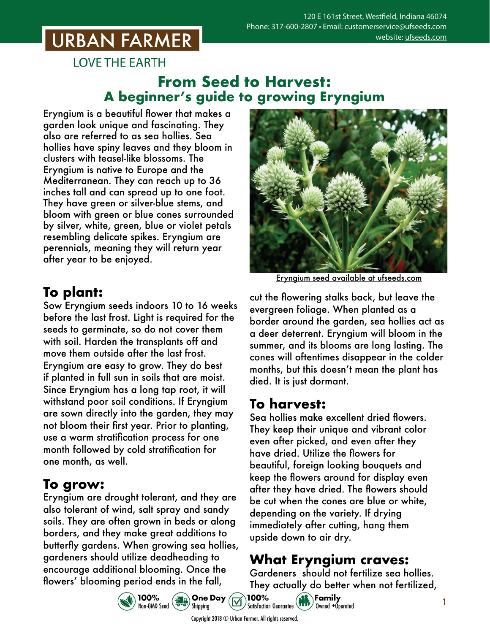# **URBAN FARMER**

**LOVE THE EARTH** 

#### **From Seed to Harvest: A beginner's guide to growing Eryngium**

Eryngium is a beautiful flower that makes a garden look unique and fascinating. They also are referred to as sea hollies. Sea hollies have spiny leaves and they bloom in clusters with teasel-like blossoms. The Eryngium is native to Europe and the Mediterranean. They can reach up to 36 inches tall and can spread up to one foot. They have green or silver-blue stems, and bloom with green or blue cones surrounded by silver, white, green, blue or violet petals resembling delicate spikes. Eryngium are perennials, meaning they will return year after year to be enjoyed.

## **To plant:**

Sow Eryngium seeds indoors 10 to 16 weeks before the last frost. Light is required for the seeds to germinate, so do not cover them with soil. Harden the transplants off and move them outside after the last frost. Eryngium are easy to grow. They do best if planted in full sun in soils that are moist. Since Eryngium has a long tap root, it will withstand poor soil conditions. If Eryngium are sown directly into the garden, they may not bloom their first year. Prior to planting, use a warm stratification process for one month followed by cold stratification for one month, as well.

## **To grow:**

Eryngium are drought tolerant, and they are also tolerant of wind, salt spray and sandy soils. They are often grown in beds or along borders, and they make great additions to butterfly gardens. When growing sea hollies, gardeners should utilize deadheading to encourage additional blooming. Once the flowers' blooming period ends in the fall,



Eryngium seed [available at ufseeds.com](https://www.ufseeds.com/product-category/flowers/eryngium/)

cut the flowering stalks back, but leave the evergreen foliage. When planted as a border around the garden, sea hollies act as a deer deterrent. Eryngium will bloom in the summer, and its blooms are long lasting. The cones will oftentimes disappear in the colder months, but this doesn't mean the plant has died. It is just dormant.

## **To harvest:**

Sea hollies make excellent dried flowers. They keep their unique and vibrant color even after picked, and even after they have dried. Utilize the flowers for beautiful, foreign looking bouquets and keep the flowers around for display even after they have dried. The flowers should be cut when the cones are blue or white, depending on the variety. If drying immediately after cutting, hang them upside down to air dry.

## **What Eryngium craves:**

Gardeners should not fertilize sea hollies. They actually do better when not fertilized,<br>1**00%**<br>idisfaction Guarantes (**111)** Canadia



**Satisfaction Guarantee** Owned +Operated

100%